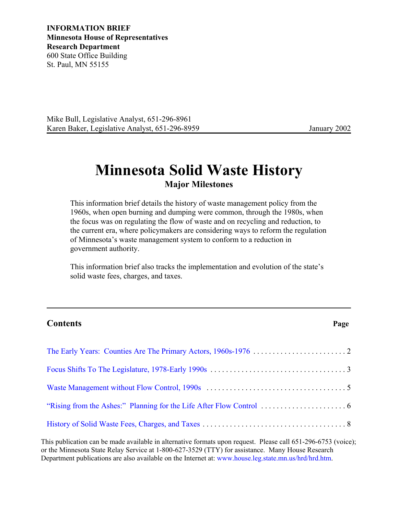**INFORMATION BRIEF Minnesota House of Representatives Research Department** 600 State Office Building St. Paul, MN 55155

Mike Bull, Legislative Analyst, 651-296-8961 Karen Baker, Legislative Analyst, 651-296-8959 January 2002

# **Minnesota Solid Waste History Major Milestones**

This information brief details the history of waste management policy from the 1960s, when open burning and dumping were common, through the 1980s, when the focus was on regulating the flow of waste and on recycling and reduction, to the current era, where policymakers are considering ways to reform the regulation of Minnesota's waste management system to conform to a reduction in government authority.

This information brief also tracks the implementation and evolution of the state's solid waste fees, charges, and taxes.

# **Contents Page**

This publication can be made available in alternative formats upon request. Please call 651-296-6753 (voice); or the Minnesota State Relay Service at 1-800-627-3529 (TTY) for assistance. Many House Research Department publications are also available on the Internet at: [www.house.leg.state.mn.us/hrd/hrd.htm.](http://www.house.leg.state.mn.us/hrd/hrd.htm)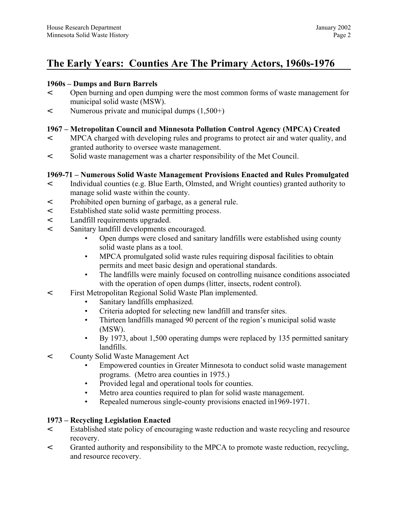# <span id="page-1-0"></span>**The Early Years: Counties Are The Primary Actors, 1960s-1976**

#### **1960s – Dumps and Burn Barrels**

- < Open burning and open dumping were the most common forms of waste management for municipal solid waste (MSW).
- < Numerous private and municipal dumps (1,500+)

### **1967 – Metropolitan Council and Minnesota Pollution Control Agency (MPCA) Created**

- < MPCA charged with developing rules and programs to protect air and water quality, and granted authority to oversee waste management.
- < Solid waste management was a charter responsibility of the Met Council.

### **1969-71 – Numerous Solid Waste Management Provisions Enacted and Rules Promulgated**

- < Individual counties (e.g. Blue Earth, Olmsted, and Wright counties) granted authority to manage solid waste within the county.
- < Prohibited open burning of garbage, as a general rule.
- < Established state solid waste permitting process.
- < Landfill requirements upgraded.
- < Sanitary landfill developments encouraged.
	- Open dumps were closed and sanitary landfills were established using county solid waste plans as a tool.
	- MPCA promulgated solid waste rules requiring disposal facilities to obtain permits and meet basic design and operational standards.
	- The landfills were mainly focused on controlling nuisance conditions associated with the operation of open dumps (litter, insects, rodent control).
- < First Metropolitan Regional Solid Waste Plan implemented.
	- Sanitary landfills emphasized.
	- Criteria adopted for selecting new landfill and transfer sites.
	- Thirteen landfills managed 90 percent of the region's municipal solid waste (MSW).
	- By 1973, about 1,500 operating dumps were replaced by 135 permitted sanitary landfills.
- < County Solid Waste Management Act
	- Empowered counties in Greater Minnesota to conduct solid waste management programs. (Metro area counties in 1975.)
	- Provided legal and operational tools for counties.
	- Metro area counties required to plan for solid waste management.
	- Repealed numerous single-county provisions enacted in1969-1971.

#### **1973 – Recycling Legislation Enacted**

- < Established state policy of encouraging waste reduction and waste recycling and resource recovery.
- < Granted authority and responsibility to the MPCA to promote waste reduction, recycling, and resource recovery.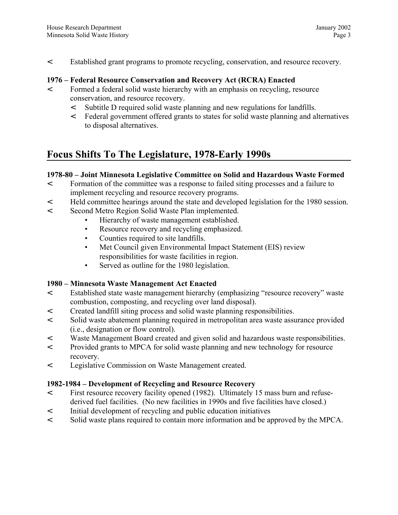<span id="page-2-0"></span>< Established grant programs to promote recycling, conservation, and resource recovery.

#### **1976 – Federal Resource Conservation and Recovery Act (RCRA) Enacted**

- < Formed a federal solid waste hierarchy with an emphasis on recycling, resource conservation, and resource recovery.
	- < Subtitle D required solid waste planning and new regulations for landfills.
	- < Federal government offered grants to states for solid waste planning and alternatives to disposal alternatives.

# **Focus Shifts To The Legislature, 1978-Early 1990s**

### **1978-80 – Joint Minnesota Legislative Committee on Solid and Hazardous Waste Formed**

- < Formation of the committee was a response to failed siting processes and a failure to implement recycling and resource recovery programs.
- < Held committee hearings around the state and developed legislation for the 1980 session.
- < Second Metro Region Solid Waste Plan implemented.
	- Hierarchy of waste management established.
	- Resource recovery and recycling emphasized.
	- Counties required to site landfills.
	- Met Council given Environmental Impact Statement (EIS) review responsibilities for waste facilities in region.
	- Served as outline for the 1980 legislation.

### **1980 – Minnesota Waste Management Act Enacted**

- < Established state waste management hierarchy (emphasizing "resource recovery" waste combustion, composting, and recycling over land disposal).
- < Created landfill siting process and solid waste planning responsibilities.
- < Solid waste abatement planning required in metropolitan area waste assurance provided (i.e., designation or flow control).
- < Waste Management Board created and given solid and hazardous waste responsibilities.
- < Provided grants to MPCA for solid waste planning and new technology for resource recovery.
- < Legislative Commission on Waste Management created.

### **1982-1984 – Development of Recycling and Resource Recovery**

- < First resource recovery facility opened (1982). Ultimately 15 mass burn and refusederived fuel facilities. (No new facilities in 1990s and five facilities have closed.)
- < Initial development of recycling and public education initiatives
- < Solid waste plans required to contain more information and be approved by the MPCA.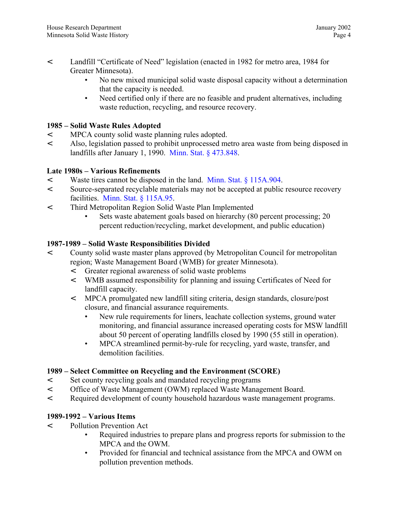- < Landfill "Certificate of Need" legislation (enacted in 1982 for metro area, 1984 for Greater Minnesota).
	- No new mixed municipal solid waste disposal capacity without a determination that the capacity is needed.
	- Need certified only if there are no feasible and prudent alternatives, including waste reduction, recycling, and resource recovery.

### **1985 – Solid Waste Rules Adopted**

- < MPCA county solid waste planning rules adopted.
- < Also, legislation passed to prohibit unprocessed metro area waste from being disposed in landfills after January 1, 1990. [Minn. Stat. § 473.848.](http://www.revisor.leg.state.mn.us/stats/473/848.html)

#### **Late 1980s – Various Refinements**

- < Waste tires cannot be disposed in the land. [Minn. Stat. § 115A.904.](http://www.revisor.leg.state.mn.us/stats/115A/904.html)
- < Source-separated recyclable materials may not be accepted at public resource recovery facilities. [Minn. Stat. § 115A.95.](http://www.revisor.leg.state.mn.us/stats/115A/95.html)
- < Third Metropolitan Region Solid Waste Plan Implemented
	- Sets waste abatement goals based on hierarchy (80 percent processing; 20 percent reduction/recycling, market development, and public education)

#### **1987-1989 – Solid Waste Responsibilities Divided**

- < County solid waste master plans approved (by Metropolitan Council for metropolitan region; Waste Management Board (WMB) for greater Minnesota).
	- < Greater regional awareness of solid waste problems
	- < WMB assumed responsibility for planning and issuing Certificates of Need for landfill capacity.
	- < MPCA promulgated new landfill siting criteria, design standards, closure/post closure, and financial assurance requirements.
		- New rule requirements for liners, leachate collection systems, ground water monitoring, and financial assurance increased operating costs for MSW landfill about 50 percent of operating landfills closed by 1990 (55 still in operation).
		- MPCA streamlined permit-by-rule for recycling, yard waste, transfer, and demolition facilities.

### **1989 – Select Committee on Recycling and the Environment (SCORE)**

- < Set county recycling goals and mandated recycling programs
- < Office of Waste Management (OWM) replaced Waste Management Board.
- < Required development of county household hazardous waste management programs.

#### **1989-1992 – Various Items**

- < Pollution Prevention Act
	- Required industries to prepare plans and progress reports for submission to the MPCA and the OWM.
	- Provided for financial and technical assistance from the MPCA and OWM on pollution prevention methods.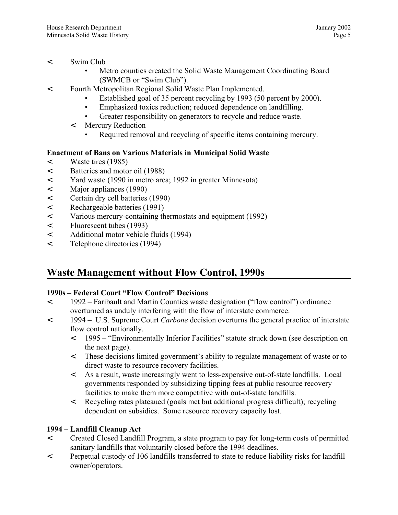- <span id="page-4-0"></span>< Swim Club
	- Metro counties created the Solid Waste Management Coordinating Board (SWMCB or "Swim Club").
- < Fourth Metropolitan Regional Solid Waste Plan Implemented.
	- Established goal of 35 percent recycling by 1993 (50 percent by 2000).
	- Emphasized toxics reduction; reduced dependence on landfilling.
	- Greater responsibility on generators to recycle and reduce waste.
	- < Mercury Reduction
		- Required removal and recycling of specific items containing mercury.

# **Enactment of Bans on Various Materials in Municipal Solid Waste**

- < Waste tires (1985)
- < Batteries and motor oil (1988)
- < Yard waste (1990 in metro area; 1992 in greater Minnesota)
- < Major appliances (1990)
- < Certain dry cell batteries (1990)
- < Rechargeable batteries (1991)
- < Various mercury-containing thermostats and equipment (1992)
- < Fluorescent tubes (1993)
- < Additional motor vehicle fluids (1994)
- < Telephone directories (1994)

# **Waste Management without Flow Control, 1990s**

### **1990s – Federal Court "Flow Control" Decisions**

- < 1992 Faribault and Martin Counties waste designation ("flow control") ordinance overturned as unduly interfering with the flow of interstate commerce.
- < 1994 U.S. Supreme Court *Carbone* decision overturns the general practice of interstate flow control nationally.
	- < 1995 "Environmentally Inferior Facilities" statute struck down (see description on the next page).
	- < These decisions limited government's ability to regulate management of waste or to direct waste to resource recovery facilities.
	- < As a result, waste increasingly went to less-expensive out-of-state landfills. Local governments responded by subsidizing tipping fees at public resource recovery facilities to make them more competitive with out-of-state landfills.
	- < Recycling rates plateaued (goals met but additional progress difficult); recycling dependent on subsidies. Some resource recovery capacity lost.

# **1994 – Landfill Cleanup Act**

- < Created Closed Landfill Program, a state program to pay for long-term costs of permitted sanitary landfills that voluntarily closed before the 1994 deadlines.
- < Perpetual custody of 106 landfills transferred to state to reduce liability risks for landfill owner/operators.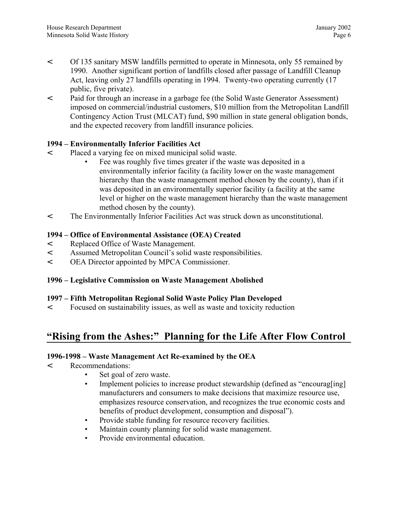- <span id="page-5-0"></span>< Of 135 sanitary MSW landfills permitted to operate in Minnesota, only 55 remained by 1990. Another significant portion of landfills closed after passage of Landfill Cleanup Act, leaving only 27 landfills operating in 1994. Twenty-two operating currently (17 public, five private).
- < Paid for through an increase in a garbage fee (the Solid Waste Generator Assessment) imposed on commercial/industrial customers, \$10 million from the Metropolitan Landfill Contingency Action Trust (MLCAT) fund, \$90 million in state general obligation bonds, and the expected recovery from landfill insurance policies.

### **1994 – Environmentally Inferior Facilities Act**

- < Placed a varying fee on mixed municipal solid waste.
	- Fee was roughly five times greater if the waste was deposited in a environmentally inferior facility (a facility lower on the waste management hierarchy than the waste management method chosen by the county), than if it was deposited in an environmentally superior facility (a facility at the same level or higher on the waste management hierarchy than the waste management method chosen by the county).
- < The Environmentally Inferior Facilities Act was struck down as unconstitutional.

### **1994 – Office of Environmental Assistance (OEA) Created**

- < Replaced Office of Waste Management.
- < Assumed Metropolitan Council's solid waste responsibilities.
- < OEA Director appointed by MPCA Commissioner.

### **1996 – Legislative Commission on Waste Management Abolished**

### **1997 – Fifth Metropolitan Regional Solid Waste Policy Plan Developed**

< Focused on sustainability issues, as well as waste and toxicity reduction

# **"Rising from the Ashes:" Planning for the Life After Flow Control**

### **1996-1998 – Waste Management Act Re-examined by the OEA**

- < Recommendations:
	- Set goal of zero waste.
	- Implement policies to increase product stewardship (defined as "encourag[ing] manufacturers and consumers to make decisions that maximize resource use, emphasizes resource conservation, and recognizes the true economic costs and benefits of product development, consumption and disposal").
	- Provide stable funding for resource recovery facilities.
	- Maintain county planning for solid waste management.
	- Provide environmental education.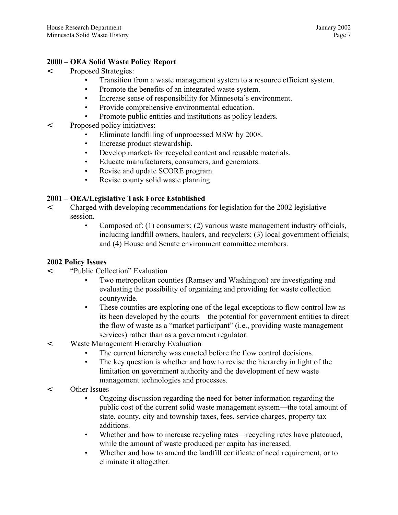#### **2000 – OEA Solid Waste Policy Report**

- < Proposed Strategies:
	- Transition from a waste management system to a resource efficient system.
	- Promote the benefits of an integrated waste system.
	- Increase sense of responsibility for Minnesota's environment.
	- Provide comprehensive environmental education.
	- Promote public entities and institutions as policy leaders.
- < Proposed policy initiatives:
	- Eliminate landfilling of unprocessed MSW by 2008.
	- Increase product stewardship.
	- Develop markets for recycled content and reusable materials.
	- Educate manufacturers, consumers, and generators.
	- Revise and update SCORE program.
	- Revise county solid waste planning.

### **2001 – OEA/Legislative Task Force Established**

- < Charged with developing recommendations for legislation for the 2002 legislative session.
	- Composed of: (1) consumers; (2) various waste management industry officials, including landfill owners, haulers, and recyclers; (3) local government officials; and (4) House and Senate environment committee members.

#### **2002 Policy Issues**

- < "Public Collection" Evaluation
	- Two metropolitan counties (Ramsey and Washington) are investigating and evaluating the possibility of organizing and providing for waste collection countywide.
	- These counties are exploring one of the legal exceptions to flow control law as its been developed by the courts—the potential for government entities to direct the flow of waste as a "market participant" (i.e., providing waste management services) rather than as a government regulator.
- < Waste Management Hierarchy Evaluation
	- The current hierarchy was enacted before the flow control decisions.
	- The key question is whether and how to revise the hierarchy in light of the limitation on government authority and the development of new waste management technologies and processes.
- < Other Issues
	- Ongoing discussion regarding the need for better information regarding the public cost of the current solid waste management system—the total amount of state, county, city and township taxes, fees, service charges, property tax additions.
	- Whether and how to increase recycling rates—recycling rates have plateaued, while the amount of waste produced per capita has increased.
	- Whether and how to amend the landfill certificate of need requirement, or to eliminate it altogether.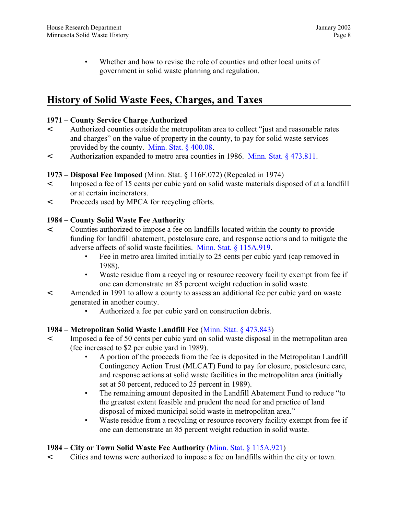<span id="page-7-0"></span>• Whether and how to revise the role of counties and other local units of government in solid waste planning and regulation.

# **History of Solid Waste Fees, Charges, and Taxes**

### **1971 – County Service Charge Authorized**

- < Authorized counties outside the metropolitan area to collect "just and reasonable rates and charges" on the value of property in the county, to pay for solid waste services provided by the county. [Minn. Stat. § 400.08.](http://www.revisor.leg.state.mn.us/stats/400/08.html)
- < Authorization expanded to metro area counties in 1986. [Minn. Stat. § 473.811.](http://www.revisor.leg.state.mn.us/stats/473/811.html)

# **1973 – Disposal Fee Imposed** (Minn. Stat. § 116F.072) (Repealed in 1974)

- < Imposed a fee of 15 cents per cubic yard on solid waste materials disposed of at a landfill or at certain incinerators.
- < Proceeds used by MPCA for recycling efforts.

# **1984 – County Solid Waste Fee Authority**

- < Counties authorized to impose a fee on landfills located within the county to provide funding for landfill abatement, postclosure care, and response actions and to mitigate the adverse affects of solid waste facilities. [Minn. Stat. § 115A.919.](http://www.revisor.leg.state.mn.us/stats/115A/919.html)
	- Fee in metro area limited initially to 25 cents per cubic yard (cap removed in 1988).
	- Waste residue from a recycling or resource recovery facility exempt from fee if one can demonstrate an 85 percent weight reduction in solid waste.
- < Amended in 1991 to allow a county to assess an additional fee per cubic yard on waste generated in another county.
	- Authorized a fee per cubic yard on construction debris.

### **1984 – Metropolitan Solid Waste Landfill Fee** [\(Minn. Stat. § 473.843\)](http://www.revisor.leg.state.mn.us/stats/473/843.html)

- < Imposed a fee of 50 cents per cubic yard on solid waste disposal in the metropolitan area (fee increased to \$2 per cubic yard in 1989).
	- A portion of the proceeds from the fee is deposited in the Metropolitan Landfill Contingency Action Trust (MLCAT) Fund to pay for closure, postclosure care, and response actions at solid waste facilities in the metropolitan area (initially set at 50 percent, reduced to 25 percent in 1989).
	- The remaining amount deposited in the Landfill Abatement Fund to reduce "to" the greatest extent feasible and prudent the need for and practice of land disposal of mixed municipal solid waste in metropolitan area."
	- Waste residue from a recycling or resource recovery facility exempt from fee if one can demonstrate an 85 percent weight reduction in solid waste.

# **1984 – City or Town Solid Waste Fee Authority** [\(Minn. Stat. § 115A.921\)](http://www.revisor.leg.state.mn.us/stats/115A/921.html)

< Cities and towns were authorized to impose a fee on landfills within the city or town.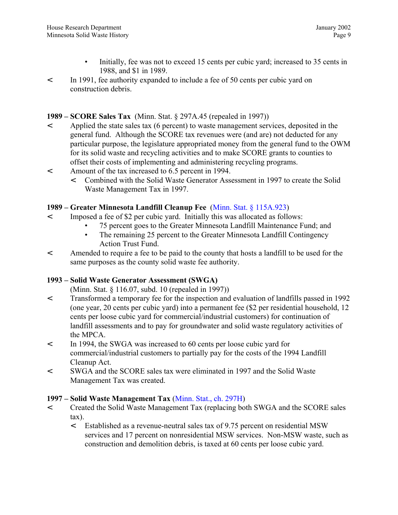- Initially, fee was not to exceed 15 cents per cubic yard; increased to 35 cents in 1988, and \$1 in 1989.
- < In 1991, fee authority expanded to include a fee of 50 cents per cubic yard on construction debris.

#### **1989 – SCORE Sales Tax** (Minn. Stat. § 297A.45 (repealed in 1997))

- < Applied the state sales tax (6 percent) to waste management services, deposited in the general fund. Although the SCORE tax revenues were (and are) not deducted for any particular purpose, the legislature appropriated money from the general fund to the OWM for its solid waste and recycling activities and to make SCORE grants to counties to offset their costs of implementing and administering recycling programs.
- < Amount of the tax increased to 6.5 percent in 1994.
	- < Combined with the Solid Waste Generator Assessment in 1997 to create the Solid Waste Management Tax in 1997.

#### **1989 – Greater Minnesota Landfill Cleanup Fee** [\(Minn. Stat. § 115A.923\)](http://www.revisor.leg.state.mn.us/stats/115A/923.html)

- < Imposed a fee of \$2 per cubic yard. Initially this was allocated as follows:
	- 75 percent goes to the Greater Minnesota Landfill Maintenance Fund; and
	- The remaining 25 percent to the Greater Minnesota Landfill Contingency Action Trust Fund.
- < Amended to require a fee to be paid to the county that hosts a landfill to be used for the same purposes as the county solid waste fee authority.

### **1993 – Solid Waste Generator Assessment (SWGA)**

(Minn. Stat. § 116.07, subd. 10 (repealed in 1997))

- < Transformed a temporary fee for the inspection and evaluation of landfills passed in 1992 (one year, 20 cents per cubic yard) into a permanent fee (\$2 per residential household, 12 cents per loose cubic yard for commercial/industrial customers) for continuation of landfill assessments and to pay for groundwater and solid waste regulatory activities of the MPCA.
- < In 1994, the SWGA was increased to 60 cents per loose cubic yard for commercial/industrial customers to partially pay for the costs of the 1994 Landfill Cleanup Act.
- < SWGA and the SCORE sales tax were eliminated in 1997 and the Solid Waste Management Tax was created.

#### **1997 – Solid Waste Management Tax** [\(Minn. Stat., ch. 297H\)](http://www.revisor.leg.state.mn.us/stats/297H/)

- < Created the Solid Waste Management Tax (replacing both SWGA and the SCORE sales tax).
	- < Established as a revenue-neutral sales tax of 9.75 percent on residential MSW services and 17 percent on nonresidential MSW services. Non-MSW waste, such as construction and demolition debris, is taxed at 60 cents per loose cubic yard.